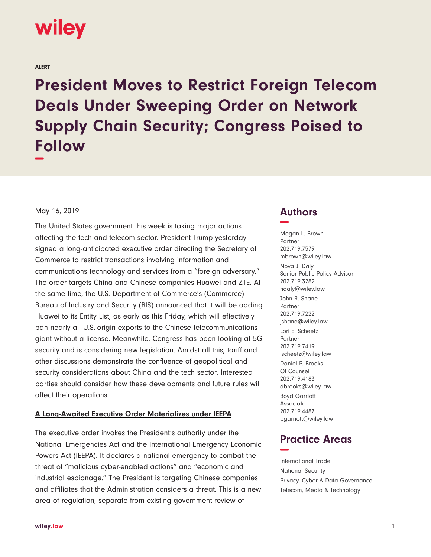

ALERT

**President Moves to Restrict Foreign Telecom Deals Under Sweeping Order on Network Supply Chain Security; Congress Poised to Follow −**

May 16, 2019

The United States government this week is taking major actions affecting the tech and telecom sector. President Trump yesterday signed a long-anticipated executive order directing the Secretary of Commerce to restrict transactions involving information and communications technology and services from a "foreign adversary." The order targets China and Chinese companies Huawei and ZTE. At the same time, the U.S. Department of Commerce's (Commerce) Bureau of Industry and Security (BIS) announced that it will be adding Huawei to its Entity List, as early as this Friday, which will effectively ban nearly all U.S.-origin exports to the Chinese telecommunications giant without a license. Meanwhile, Congress has been looking at 5G security and is considering new legislation. Amidst all this, tariff and other discussions demonstrate the confluence of geopolitical and security considerations about China and the tech sector. Interested parties should consider how these developments and future rules will affect their operations.

#### **A Long-Awaited Executive Order Materializes under IEEPA**

The executive order invokes the President's authority under the National Emergencies Act and the International Emergency Economic Powers Act (IEEPA). It declares a national emergency to combat the threat of "malicious cyber-enabled actions" and "economic and industrial espionage." The President is targeting Chinese companies and affiliates that the Administration considers a threat. This is a new area of regulation, separate from existing government review of

## **Authors −**

Megan L. Brown Partner 202.719.7579 mbrown@wiley.law Nova J. Daly Senior Public Policy Advisor 202.719.3282 ndaly@wiley.law John R. Shane Partner 202.719.7222 jshane@wiley.law Lori E. Scheetz Partner 202.719.7419 lscheetz@wiley.law Daniel P. Brooks Of Counsel 202.719.4183 dbrooks@wiley.law Boyd Garriott Associate 202.719.4487 bgarriott@wiley.law

# **Practice Areas −**

International Trade National Security Privacy, Cyber & Data Governance Telecom, Media & Technology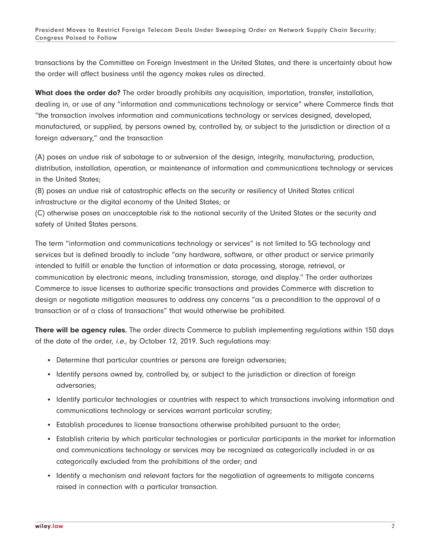transactions by the Committee on Foreign Investment in the United States, and there is uncertainty about how the order will affect business until the agency makes rules as directed.

**What does the order do?** The order broadly prohibits any acquisition, importation, transfer, installation, dealing in, or use of any "information and communications technology or service" where Commerce finds that "the transaction involves information and communications technology or services designed, developed, manufactured, or supplied, by persons owned by, controlled by, or subject to the jurisdiction or direction of a foreign adversary," and the transaction

(A) poses an undue risk of sabotage to or subversion of the design, integrity, manufacturing, production, distribution, installation, operation, or maintenance of information and communications technology or services in the United States;

(B) poses an undue risk of catastrophic effects on the security or resiliency of United States critical infrastructure or the digital economy of the United States; or

(C) otherwise poses an unacceptable risk to the national security of the United States or the security and safety of United States persons.

The term "information and communications technology or services" is not limited to 5G technology and services but is defined broadly to include "any hardware, software, or other product or service primarily intended to fulfill or enable the function of information or data processing, storage, retrieval, or communication by electronic means, including transmission, storage, and display." The order authorizes Commerce to issue licenses to authorize specific transactions and provides Commerce with discretion to design or negotiate mitigation measures to address any concerns "as a precondition to the approval of a transaction or of a class of transactions" that would otherwise be prohibited.

**There will be agency rules.** The order directs Commerce to publish implementing regulations within 150 days of the date of the order, i.e., by October 12, 2019. Such regulations may:

- Determine that particular countries or persons are foreign adversaries;
- Identify persons owned by, controlled by, or subject to the jurisdiction or direction of foreign adversaries;
- Identify particular technologies or countries with respect to which transactions involving information and communications technology or services warrant particular scrutiny;
- Establish procedures to license transactions otherwise prohibited pursuant to the order;
- Establish criteria by which particular technologies or particular participants in the market for information and communications technology or services may be recognized as categorically included in or as categorically excluded from the prohibitions of the order; and
- Identify a mechanism and relevant factors for the negotiation of agreements to mitigate concerns raised in connection with a particular transaction.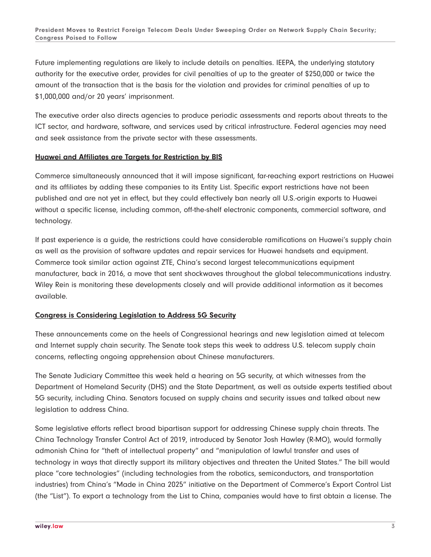Future implementing regulations are likely to include details on penalties. IEEPA, the underlying statutory authority for the executive order, provides for civil penalties of up to the greater of \$250,000 or twice the amount of the transaction that is the basis for the violation and provides for criminal penalties of up to \$1,000,000 and/or 20 years' imprisonment.

The executive order also directs agencies to produce periodic assessments and reports about threats to the ICT sector, and hardware, software, and services used by critical infrastructure. Federal agencies may need and seek assistance from the private sector with these assessments.

### **Huawei and Affiliates are Targets for Restriction by BIS**

Commerce simultaneously announced that it will impose significant, far-reaching export restrictions on Huawei and its affiliates by adding these companies to its Entity List. Specific export restrictions have not been published and are not yet in effect, but they could effectively ban nearly all U.S.-origin exports to Huawei without a specific license, including common, off-the-shelf electronic components, commercial software, and technology.

If past experience is a guide, the restrictions could have considerable ramifications on Huawei's supply chain as well as the provision of software updates and repair services for Huawei handsets and equipment. Commerce took similar action against ZTE, China's second largest telecommunications equipment manufacturer, back in 2016, a move that sent shockwaves throughout the global telecommunications industry. Wiley Rein is monitoring these developments closely and will provide additional information as it becomes available.

### **Congress is Considering Legislation to Address 5G Security**

These announcements come on the heels of Congressional hearings and new legislation aimed at telecom and Internet supply chain security. The Senate took steps this week to address U.S. telecom supply chain concerns, reflecting ongoing apprehension about Chinese manufacturers.

The Senate Judiciary Committee this week held a hearing on 5G security, at which witnesses from the Department of Homeland Security (DHS) and the State Department, as well as outside experts testified about 5G security, including China. Senators focused on supply chains and security issues and talked about new legislation to address China.

Some legislative efforts reflect broad bipartisan support for addressing Chinese supply chain threats. The China Technology Transfer Control Act of 2019, introduced by Senator Josh Hawley (R-MO), would formally admonish China for "theft of intellectual property" and "manipulation of lawful transfer and uses of technology in ways that directly support its military objectives and threaten the United States." The bill would place "core technologies" (including technologies from the robotics, semiconductors, and transportation industries) from China's "Made in China 2025" initiative on the Department of Commerce's Export Control List (the "List"). To export a technology from the List to China, companies would have to first obtain a license. The